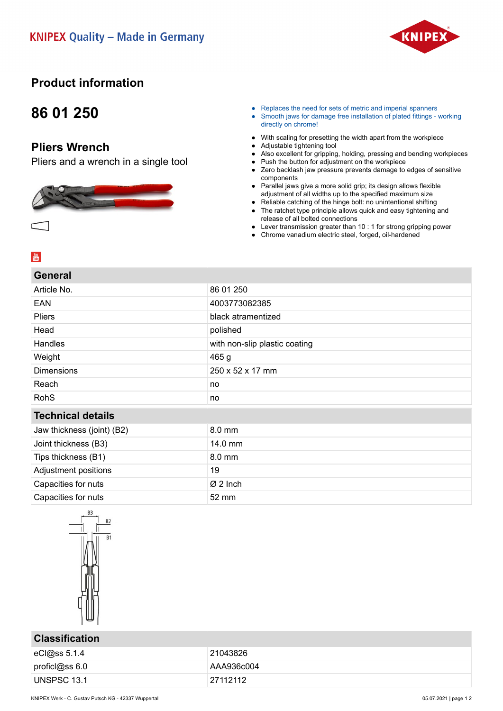

# **Product information**

# **86 01 250**

## **Pliers Wrench**

Pliers and a wrench in a single tool



- Replaces the need for sets of metric and imperial spanners
- Smooth jaws for damage free installation of plated fittings working directly on chrome!
- With scaling for presetting the width apart from the workpiece
- Adjustable tightening tool
- Also excellent for gripping, holding, pressing and bending workpieces
- Push the button for adjustment on the workpiece
- Zero backlash jaw pressure prevents damage to edges of sensitive components
- Parallel jaws give a more solid grip; its design allows flexible adjustment of all widths up to the specified maximum size
- Reliable catching of the hinge bolt: no unintentional shifting ● The ratchet type principle allows quick and easy tightening and release of all bolted connections
- Lever transmission greater than 10 : 1 for strong gripping power
- Chrome vanadium electric steel, forged, oil-hardened

| <b>General</b>             |                               |
|----------------------------|-------------------------------|
| Article No.                | 86 01 250                     |
| EAN                        | 4003773082385                 |
| Pliers                     | black atramentized            |
| Head                       | polished                      |
| Handles                    | with non-slip plastic coating |
| Weight                     | 465 <sub>g</sub>              |
| <b>Dimensions</b>          | 250 x 52 x 17 mm              |
| Reach                      | no                            |
| <b>RohS</b>                | no                            |
| <b>Technical details</b>   |                               |
| Jaw thickness (joint) (B2) | 8.0 mm                        |
| Joint thickness (B3)       | 14.0 mm                       |
| Tips thickness (B1)        | 8.0 mm                        |
| Adjustment positions       | 19                            |
| Capacities for nuts        | $\varnothing$ 2 Inch          |
| Capacities for nuts        | 52 mm                         |
|                            |                               |



### **Classification**

| eCl@ss 5.1.4   | 21043826   |
|----------------|------------|
| proficl@ss 6.0 | AAA936c004 |
| UNSPSC 13.1    | 27112112   |